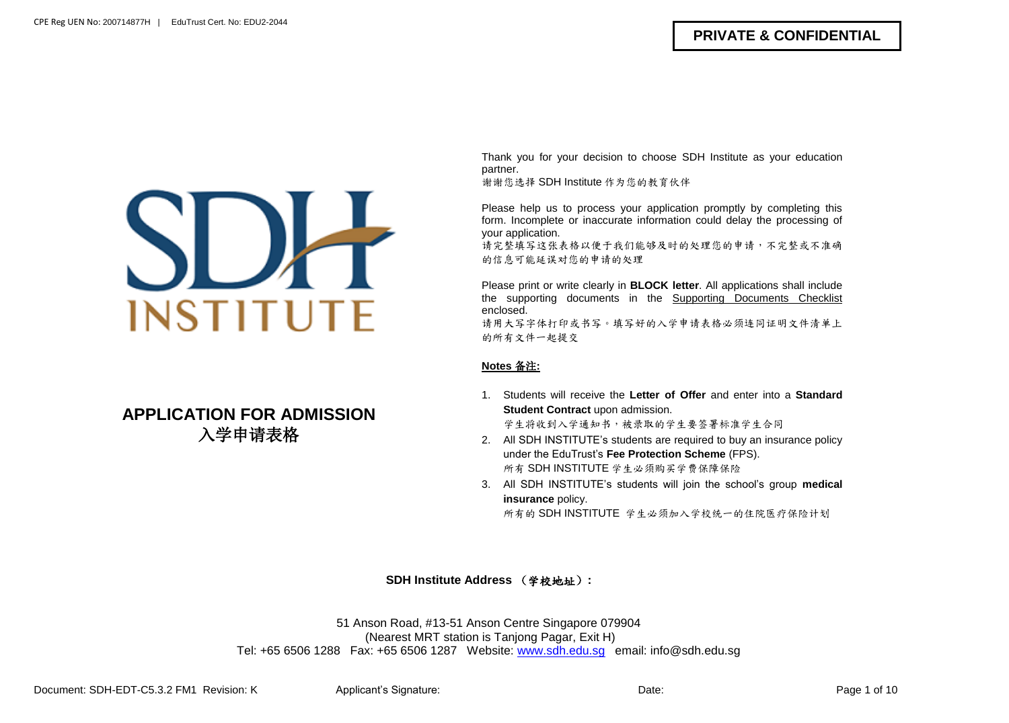

# **APPLICATION FOR ADMISSION** 入学申请表格

Thank you for your decision to choose SDH Institute as your education partner.

谢谢您选择 SDH Institute 作为您的教育伙伴

Please help us to process your application promptly by completing this form. Incomplete or inaccurate information could delay the processing of your application.

请完整填写这张表格以便于我们能够及时的处理您的申请,不完整或不准确 的信息可能延误对您的申请的处理

Please print or write clearly in **BLOCK letter**. All applications shall include the supporting documents in the Supporting Documents Checklist enclosed. 请用大写字体打印或书写。填写好的入学申请表格必须连同证明文件清单上

的所有文件一起提交

### **Notes** 备注**:**

1. Students will receive the **Letter of Offer** and enter into a **Standard Student Contract** upon admission.

学生将收到入学通知书,被录取的学生要签署标准学生合同

- 2. All SDH INSTITUTE's students are required to buy an insurance policy under the EduTrust's **Fee Protection Scheme** (FPS). 所有 SDH INSTITUTE 学生必须购买学费保障保险
- 3. All SDH INSTITUTE's students will join the school's group **medical insurance** policy.

所有的 SDH INSTITUTE 学生必须加入学校统一的住院医疗保险计划

### **SDH Institute Address** (学校地址)**:**

51 Anson Road, #13-51 Anson Centre Singapore 079904 (Nearest MRT station is Tanjong Pagar, Exit H) Tel: +65 6506 1288 Fax: +65 6506 1287 Website: [www.sdh.edu.sg](http://www.sdh.edu.sg/) email: info@sdh.edu.sg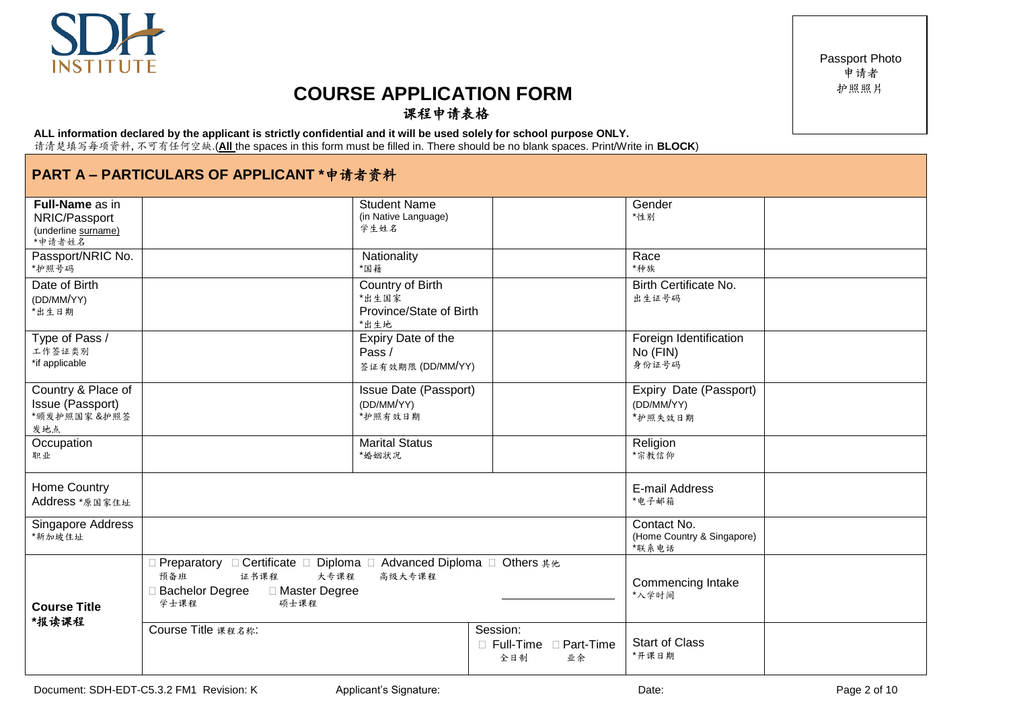# **COURSE APPLICATION FORM** 课程申请表格

#### **ALL information declared by the applicant is strictly confidential and it will be used solely for school purpose ONLY.** 请清楚填写每项资料,不可有任何空缺.(**All** the spaces in this form must be filled in. There should be no blank spaces. Print/Write in **BLOCK**)

# **PART A – PARTICULARS OF APPLICANT \***申请者资料

| <b>Full-Name as in</b><br>NRIC/Passport<br>(underline surname)<br>*申请者姓名 |                                                                                                                                                   | <b>Student Name</b><br>(in Native Language)<br>学生姓名                 |                                                  | Gender<br>*性别                                      |  |
|--------------------------------------------------------------------------|---------------------------------------------------------------------------------------------------------------------------------------------------|---------------------------------------------------------------------|--------------------------------------------------|----------------------------------------------------|--|
| Passport/NRIC No.<br>*护照号码                                               |                                                                                                                                                   | Nationality<br>*国籍                                                  |                                                  | Race<br>*种族                                        |  |
| Date of Birth<br>(DD/MM/YY)<br>*出生日期                                     |                                                                                                                                                   | <b>Country of Birth</b><br>*出生国家<br>Province/State of Birth<br>*出生地 |                                                  | Birth Certificate No.<br>出生证号码                     |  |
| Type of Pass /<br>工作签证类别<br>*if applicable                               |                                                                                                                                                   | Expiry Date of the<br>Pass /<br>签证有效期限 (DD/MM/YY)                   |                                                  | Foreign Identification<br>No (FIN)<br>身份证号码        |  |
| Country & Place of<br>Issue (Passport)<br>"颁发护照国家&护照签<br>发地点             |                                                                                                                                                   | Issue Date (Passport)<br>(DD/MM/YY)<br>*护照有效日期                      |                                                  | Expiry Date (Passport)<br>(DD/MM/YY)<br>*护照失效日期    |  |
| Occupation<br>职业                                                         |                                                                                                                                                   | <b>Marital Status</b><br>*婚姻状况                                      |                                                  | Religion<br>*宗教信仰                                  |  |
| Home Country<br>Address *原国家住址                                           |                                                                                                                                                   |                                                                     |                                                  | E-mail Address<br>*电子邮箱                            |  |
| Singapore Address<br>*新加坡住址                                              |                                                                                                                                                   |                                                                     |                                                  | Contact No.<br>(Home Country & Singapore)<br>*联系电话 |  |
| <b>Course Title</b><br>*报读课程                                             | Preparatory □ Certificate □ Diploma □ Advanced Diploma □ Others 其他<br>预备班<br>证书课程<br>大专课程<br>□ Master Degree<br>□ Bachelor Degree<br>硕士课程<br>学士课程 | 高级大专课程                                                              |                                                  | <b>Commencing Intake</b><br>*入学时间                  |  |
|                                                                          | Course Title 课程名称:                                                                                                                                |                                                                     | Session:<br>□ Full-Time □ Part-Time<br>全日制<br>业余 | <b>Start of Class</b><br>*开课日期                     |  |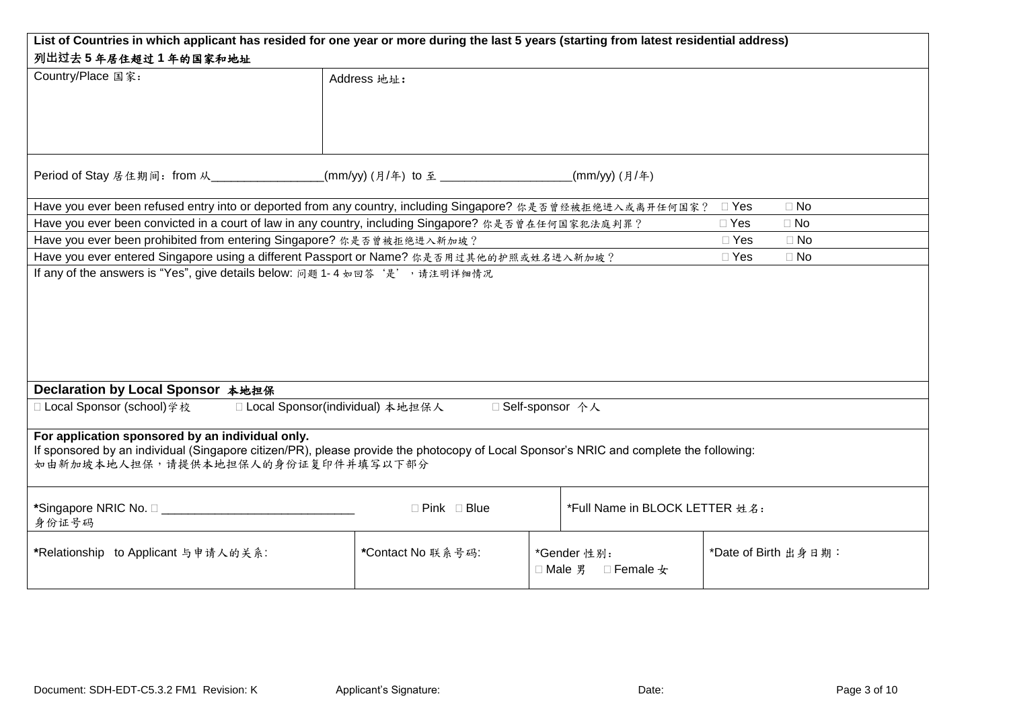| List of Countries in which applicant has resided for one year or more during the last 5 years (starting from latest residential address) |                   |                                        |  |                         |  |  |
|------------------------------------------------------------------------------------------------------------------------------------------|-------------------|----------------------------------------|--|-------------------------|--|--|
| 列出过去5年居住超过1年的国家和地址                                                                                                                       |                   |                                        |  |                         |  |  |
| Country/Place 国家:                                                                                                                        | Address 地址:       |                                        |  |                         |  |  |
|                                                                                                                                          |                   |                                        |  |                         |  |  |
|                                                                                                                                          |                   |                                        |  |                         |  |  |
|                                                                                                                                          |                   |                                        |  |                         |  |  |
|                                                                                                                                          |                   |                                        |  |                         |  |  |
| Period of Stay 居住期间: from 从___________________(mm/yy) (月/年) to 至 _____________________(mm/yy) (月/年)                                      |                   |                                        |  |                         |  |  |
|                                                                                                                                          |                   |                                        |  |                         |  |  |
| Have you ever been refused entry into or deported from any country, including Singapore? 你是否曾经被拒绝进入或离开任何国家?                              |                   |                                        |  | $\Box$ No<br>$\Box$ Yes |  |  |
| Have you ever been convicted in a court of law in any country, including Singapore? 你是否曾在任何国家犯法庭判罪?                                      |                   |                                        |  | $\Box$ Yes<br>$\Box$ No |  |  |
| Have you ever been prohibited from entering Singapore? 你是否曾被拒绝进入新加坡?                                                                     |                   |                                        |  | $\Box$ Yes<br>$\Box$ No |  |  |
| Have you ever entered Singapore using a different Passport or Name? 你是否用过其他的护照或姓名进入新加坡?                                                  |                   |                                        |  | $\Box$ Yes<br>$\Box$ No |  |  |
| If any of the answers is "Yes", give details below: 问题 1-4 如回答'是', 请注明详细情况                                                               |                   |                                        |  |                         |  |  |
|                                                                                                                                          |                   |                                        |  |                         |  |  |
|                                                                                                                                          |                   |                                        |  |                         |  |  |
|                                                                                                                                          |                   |                                        |  |                         |  |  |
|                                                                                                                                          |                   |                                        |  |                         |  |  |
|                                                                                                                                          |                   |                                        |  |                         |  |  |
|                                                                                                                                          |                   |                                        |  |                         |  |  |
| Declaration by Local Sponsor 本地担保<br>□ Local Sponsor(individual) 本地担保人<br>□ Self-sponsor 个人                                              |                   |                                        |  |                         |  |  |
| □ Local Sponsor (school)学校                                                                                                               |                   |                                        |  |                         |  |  |
| For application sponsored by an individual only.                                                                                         |                   |                                        |  |                         |  |  |
| If sponsored by an individual (Singapore citizen/PR), please provide the photocopy of Local Sponsor's NRIC and complete the following:   |                   |                                        |  |                         |  |  |
| 如由新加坡本地人担保,请提供本地担保人的身份证复印件并填写以下部分                                                                                                        |                   |                                        |  |                         |  |  |
|                                                                                                                                          |                   |                                        |  |                         |  |  |
| $\Box$ Pink $\Box$ Blue<br>*Full Name in BLOCK LETTER 姓名:                                                                                |                   |                                        |  |                         |  |  |
| 身份证号码                                                                                                                                    |                   |                                        |  |                         |  |  |
| *Relationship to Applicant 与申请人的关系:                                                                                                      | *Contact No 联系号码: |                                        |  | *Date of Birth 出身日期:    |  |  |
|                                                                                                                                          |                   | *Gender 性别:<br>□ Male 男 □ Female $\pm$ |  |                         |  |  |
|                                                                                                                                          |                   |                                        |  |                         |  |  |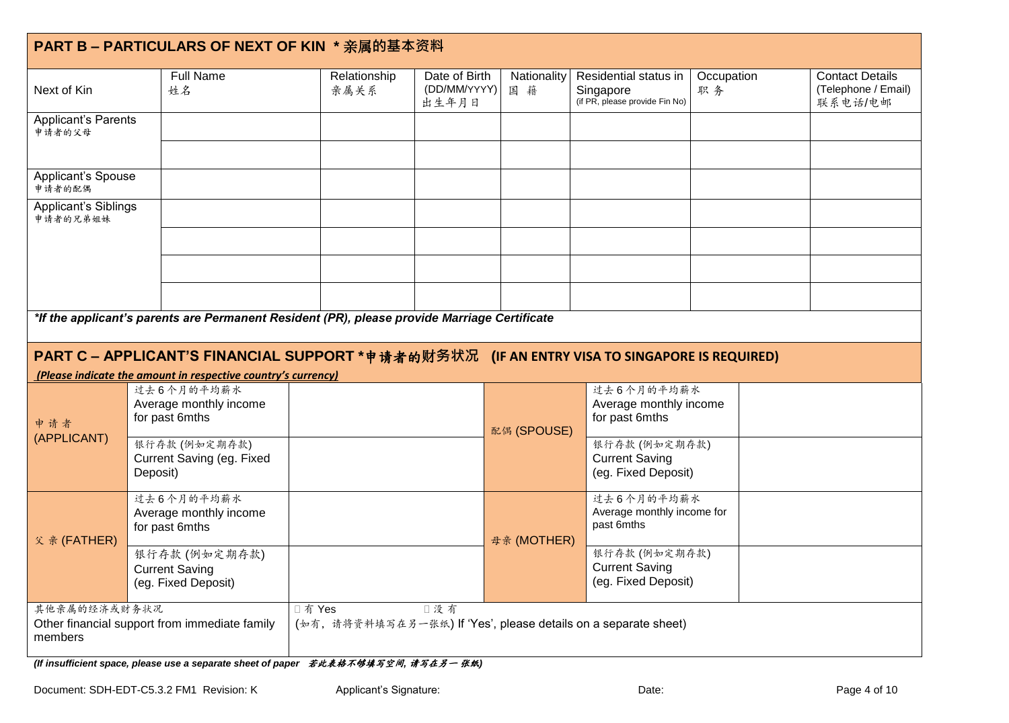|                                      | PART B - PARTICULARS OF NEXT OF KIN * 亲属的基本资料                                                                                                                  |                                                                            |                                        |                   |                                                                      |                  |                                                          |
|--------------------------------------|----------------------------------------------------------------------------------------------------------------------------------------------------------------|----------------------------------------------------------------------------|----------------------------------------|-------------------|----------------------------------------------------------------------|------------------|----------------------------------------------------------|
| Next of Kin                          | <b>Full Name</b><br>姓名                                                                                                                                         | Relationship<br>亲属关系                                                       | Date of Birth<br>(DD/MM/YYYY)<br>出生年月日 | Nationality<br>国籍 | Residential status in<br>Singapore<br>(if PR, please provide Fin No) | Occupation<br>职务 | <b>Contact Details</b><br>(Telephone / Email)<br>联系电话/电邮 |
| <b>Applicant's Parents</b><br>申请者的父母 |                                                                                                                                                                |                                                                            |                                        |                   |                                                                      |                  |                                                          |
|                                      |                                                                                                                                                                |                                                                            |                                        |                   |                                                                      |                  |                                                          |
| Applicant's Spouse<br>申请者的配偶         |                                                                                                                                                                |                                                                            |                                        |                   |                                                                      |                  |                                                          |
| Applicant's Siblings<br>申请者的兄弟姐妹     |                                                                                                                                                                |                                                                            |                                        |                   |                                                                      |                  |                                                          |
|                                      |                                                                                                                                                                |                                                                            |                                        |                   |                                                                      |                  |                                                          |
|                                      |                                                                                                                                                                |                                                                            |                                        |                   |                                                                      |                  |                                                          |
|                                      |                                                                                                                                                                |                                                                            |                                        |                   |                                                                      |                  |                                                          |
|                                      | *If the applicant's parents are Permanent Resident (PR), please provide Marriage Certificate                                                                   |                                                                            |                                        |                   |                                                                      |                  |                                                          |
|                                      | PART C - APPLICANT'S FINANCIAL SUPPORT * 申请者的财务状况 (IF AN ENTRY VISA TO SINGAPORE IS REQUIRED)<br>(Please indicate the amount in respective country's currency) |                                                                            |                                        |                   |                                                                      |                  |                                                          |
|                                      | 过去6个月的平均薪水                                                                                                                                                     |                                                                            |                                        |                   | 过去6个月的平均薪水                                                           |                  |                                                          |
| 申请者                                  | Average monthly income<br>for past 6mths                                                                                                                       |                                                                            |                                        | 配偶 (SPOUSE)       | Average monthly income<br>for past 6mths                             |                  |                                                          |
| (APPLICANT)                          | 银行存款(例如定期存款)<br>Current Saving (eg. Fixed                                                                                                                      |                                                                            |                                        |                   | 银行存款(例如定期存款)<br><b>Current Saving</b>                                |                  |                                                          |
|                                      | Deposit)                                                                                                                                                       |                                                                            |                                        |                   | (eg. Fixed Deposit)                                                  |                  |                                                          |
|                                      | 过去6个月的平均薪水<br>Average monthly income                                                                                                                           |                                                                            |                                        |                   | 过去6个月的平均薪水<br>Average monthly income for                             |                  |                                                          |
| 父 亲 (FATHER)                         | for past 6mths                                                                                                                                                 |                                                                            |                                        | 母亲 (MOTHER)       | past 6mths                                                           |                  |                                                          |
|                                      | 银行存款(例如定期存款)<br><b>Current Saving</b>                                                                                                                          |                                                                            |                                        |                   | 银行存款(例如定期存款)<br><b>Current Saving</b>                                |                  |                                                          |
|                                      | (eg. Fixed Deposit)                                                                                                                                            |                                                                            |                                        |                   | (eg. Fixed Deposit)                                                  |                  |                                                          |
| 其他亲属的经济或财务状况                         | Other financial support from immediate family                                                                                                                  | □ 有 Yes<br>(如有, 请将资料填写在另一张纸) If 'Yes', please details on a separate sheet) | □没有                                    |                   |                                                                      |                  |                                                          |
| members                              |                                                                                                                                                                |                                                                            |                                        |                   |                                                                      |                  |                                                          |

*(If insufficient space, please use a separate sheet of paper 若此表格不够填写空间, 请写在另一 张纸)*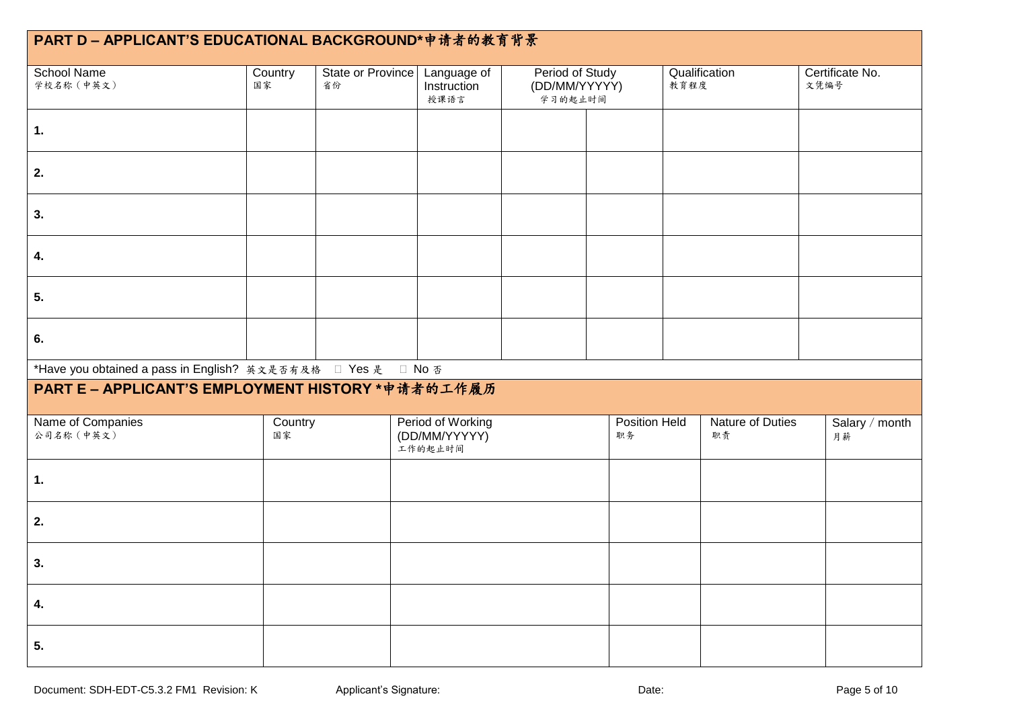| PART D - APPLICANT'S EDUCATIONAL BACKGROUND*申请者的教育背景         |               |                         |                                               |                                             |                     |      |                        |      |                      |
|--------------------------------------------------------------|---------------|-------------------------|-----------------------------------------------|---------------------------------------------|---------------------|------|------------------------|------|----------------------|
| <b>School Name</b><br>学校名称 (中英文)                             | Country<br>国家 | State or Province<br>省份 | Language of<br>Instruction<br>授课语言            | Period of Study<br>(DD/MM/YYYYY)<br>学习的起止时间 |                     | 教育程度 | Qualification          | 文凭编号 | Certificate No.      |
| $\overline{1}$ .                                             |               |                         |                                               |                                             |                     |      |                        |      |                      |
| 2.                                                           |               |                         |                                               |                                             |                     |      |                        |      |                      |
| 3.                                                           |               |                         |                                               |                                             |                     |      |                        |      |                      |
| 4.                                                           |               |                         |                                               |                                             |                     |      |                        |      |                      |
| 5.                                                           |               |                         |                                               |                                             |                     |      |                        |      |                      |
| 6.                                                           |               |                         |                                               |                                             |                     |      |                        |      |                      |
| *Have you obtained a pass in English? 英文是否有及格 □ Yes 是 □ No 否 |               |                         |                                               |                                             |                     |      |                        |      |                      |
| PART E - APPLICANT'S EMPLOYMENT HISTORY *申请者的工作履历            |               |                         |                                               |                                             |                     |      |                        |      |                      |
| Name of Companies<br>公司名称 (中英文)                              | Country<br>国家 |                         | Period of Working<br>(DD/MM/YYYYY)<br>工作的起止时间 |                                             | Position Held<br>职务 |      | Nature of Duties<br>职责 |      | Salary / month<br>月薪 |
| 1.                                                           |               |                         |                                               |                                             |                     |      |                        |      |                      |
| 2.                                                           |               |                         |                                               |                                             |                     |      |                        |      |                      |
| 3.                                                           |               |                         |                                               |                                             |                     |      |                        |      |                      |
| 4.                                                           |               |                         |                                               |                                             |                     |      |                        |      |                      |
| 5.                                                           |               |                         |                                               |                                             |                     |      |                        |      |                      |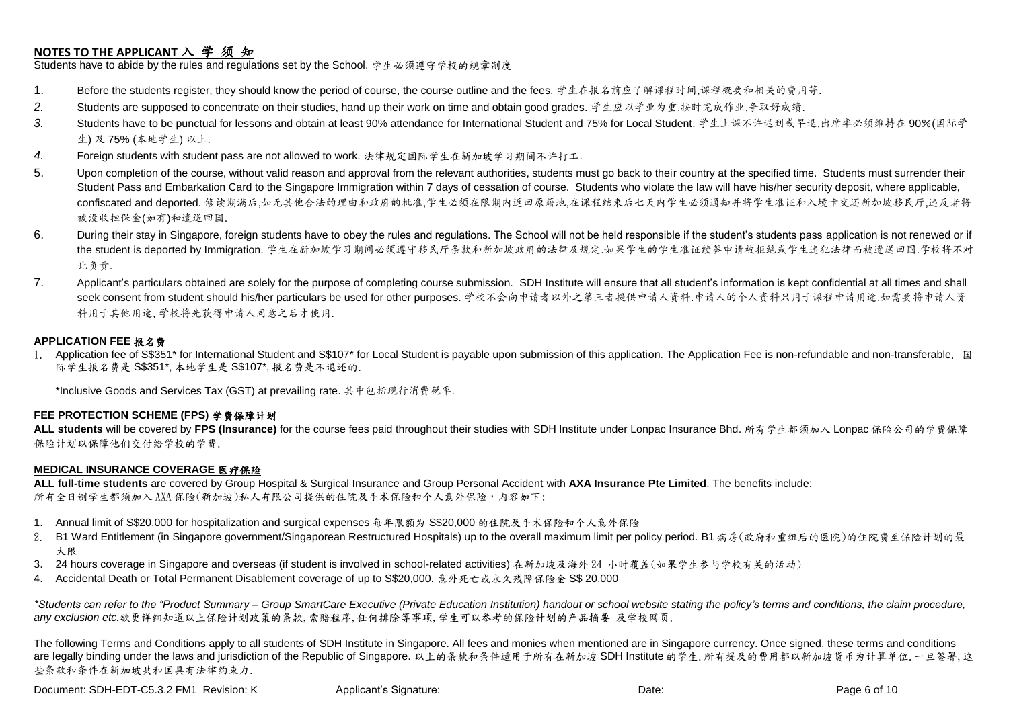## **NOTES TO THE APPLICANT** 入 学 须 知

Students have to abide by the rules and regulations set by the School. 学生必须遵守学校的规章制度

- 1. Before the students register, they should know the period of course, the course outline and the fees. 学生在报名前应了解课程时间,课程概要和相关的费用等.
- *2.* Students are supposed to concentrate on their studies, hand up their work on time and obtain good grades. 学生应以学业为重,按时完成作业,争取好成绩.
- *3.* Students have to be punctual for lessons and obtain at least 90% attendance for International Student and 75% for Local Student. 学生上课不许迟到或早退,出席率必须维持在 90%(国际学 生) 及 75% (本地学生) 以上.
- *4.* Foreign students with student pass are not allowed to work. 法律规定国际学生在新加坡学习期间不许打工.
- 5. Upon completion of the course, without valid reason and approval from the relevant authorities, students must go back to their country at the specified time. Students must surrender their Student Pass and Embarkation Card to the Singapore Immigration within 7 days of cessation of course. Students who violate the law will have his/her security deposit, where applicable, confiscated and deported. 修读期满后,如无其他合法的理由和政府的批准,学生必须在限期内返回原籍地,在课程结束后七天内学生必须通知并将学生准证和入境卡交还新加坡移民厅,违反者将 被没收担保金(如有)和遣送回国.
- 6. During their stay in Singapore, foreign students have to obey the rules and regulations. The School will not be held responsible if the student's students pass application is not renewed or if the student is deported by Immigration. 学生在新加坡学习期间必须遵守移民厅条款和新加坡政府的法律及规定.如果学生的学生准证续签申请被拒绝或学生违犯法律而被遣送回国.学校将不对 此负责.
- 7. Applicant's particulars obtained are solely for the purpose of completing course submission. SDH Institute will ensure that all student's information is kept confidential at all times and shall seek consent from student should his/her particulars be used for other purposes. 学校不会向申请者以外之第三者提供申请人资料.申请人的个人资料只用于课程申请用途.如需要将申请人资 料用于其他用途, 学校将先获得申请人同意之后才使用.

### **APPLICATION FEE** 报名费

Application fee of S\$351\* for International Student and S\$107\* for Local Student is payable upon submission of this application. The Application Fee is non-refundable and non-transferable. 国 际学生报名费是 S\$351\*,本地学生是 S\$107\*,报名费是不退还的.

\*Inclusive Goods and Services Tax (GST) at prevailing rate. 其中包括现行消费税率.

#### **FEE PROTECTION SCHEME (FPS)** 学费保障计划

**ALL students** will be covered by **FPS (Insurance)** for the course fees paid throughout their studies with SDH Institute under Lonpac Insurance Bhd. 所有学生都须加入 Lonpac 保险公司的学费保障 保险计划以保障他们交付给学校的学费.

#### **MEDICAL INSURANCE COVERAGE** 医疗保险

**ALL full-time students** are covered by Group Hospital & Surgical Insurance and Group Personal Accident with **AXA Insurance Pte Limited**. The benefits include: 所有全日制学生都须加入 AXA 保险(新加坡)私人有限公司提供的住院及手术保险和个人意外保险,内容如下:

- 1. Annual limit of S\$20,000 for hospitalization and surgical expenses 每年限额为 S\$20,000 的住院及手术保险和个人意外保险
- 2. B1 Ward Entitlement (in Singapore government/Singaporean Restructured Hospitals) up to the overall maximum limit per policy period. B1 病房(政府和重组后的医院)的住院费至保险计划的最 大限
- 3. 24 hours coverage in Singapore and overseas (if student is involved in school-related activities) 在新加坡及海外 24 小时覆盖(如果学生参与学校有关的活动)
- 4. Accidental Death or Total Permanent Disablement coverage of up to S\$20,000. 意外死亡或永久残障保险金 S\$ 20,000

*\*Students can refer to the "Product Summary – Group SmartCare Executive (Private Education Institution) handout or school website stating the policy's terms and conditions, the claim procedure, any exclusion etc.*欲更详细知道以上保险计划政策的条款,索赔程序,任何排除等事项,学生可以参考的保险计划的产品摘要 及学校网页.

The following Terms and Conditions apply to all students of SDH Institute in Singapore. All fees and monies when mentioned are in Singapore currency. Once signed, these terms and conditions are legally binding under the laws and jurisdiction of the Republic of Singapore. 以上的条款和条件适用于所有在新加坡 SDH Institute 的学生.所有提及的费用都以新加坡货币为计算单位.一旦签署,这 些条款和条件在新加坡共和国具有法律约束力.

Document: SDH-EDT-C5.3.2 FM1 Revision: K Applicant's Signature: Date: Date: Date: Page 6 of 10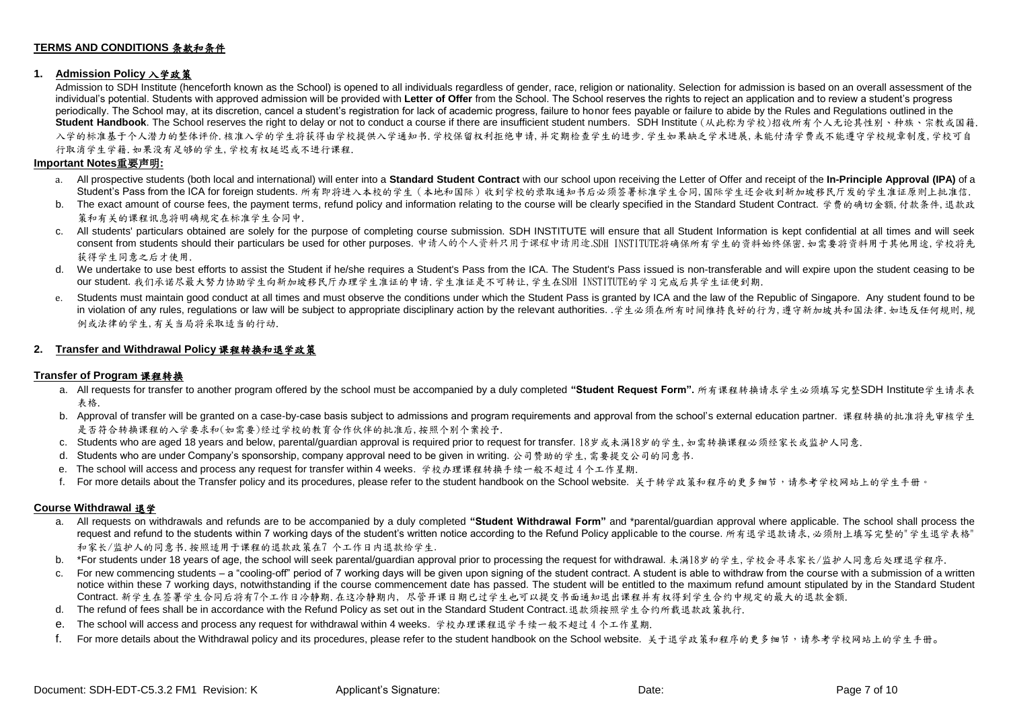#### **TERMS AND CONDITIONS** 条款和条件

#### **1. Admission Policy** 入学政策

Admission to SDH Institute (henceforth known as the School) is opened to all individuals regardless of gender, race, religion or nationality. Selection for admission is based on an overall assessment of the individual's potential. Students with approved admission will be provided with **Letter of Offer** from the School. The School reserves the rights to reject an application and to review a student's progress periodically. The School may, at its discretion, cancel a student's registration for lack of academic progress, failure to honor fees payable or failure to abide by the Rules and Regulations outlined in the **Student Handbook**. The School reserves the right to delay or not to conduct a course if there are insufficient student numbers. SDH Institute (从此称为学校)招收所有个人无论其性别、种族、宗教或国籍. 入学的标准基于个人潜力的整体评价.核准入学的学生将获得由学校提供入学通知书.学校保留权利拒绝申请,并定期检查学生的进步.学生如果缺乏学术进展,未能付清学费或不能遵守学校规章制度,学校可自 行取消学生学籍.如果没有足够的学生,学校有权延迟或不进行课程.

#### **Important Notes**重要声明**:**

- a. All prospective students (both local and international) will enter into a **Standard Student Contract** with our school upon receiving the Letter of Offer and receipt of the **In-Principle Approval (IPA)** of a Student's Pass from the ICA for foreign students. 所有即将进入本校的学生(本地和国际)收到学校的录取通知书后必须签署标准学生合同,国际学生还会收到新加坡移民厅发的学生准证原则上批准信.
- b. The exact amount of course fees, the payment terms, refund policy and information relating to the course will be clearly specified in the Standard Student Contract. 学费的确切金额, 付款条件, 退款政 策和有关的课程讯息将明确规定在标准学生合同中.
- c. All students' particulars obtained are solely for the purpose of completing course submission. SDH INSTITUTE will ensure that all Student Information is kept confidential at all times and will seek consent from students should their particulars be used for other purposes. 申请人的个人资料只用于课程申请用途.SDH INSTITUTE将确保所有学生的资料始终保密.如需要将资料用于其他用途,学校将先 获得学生同意之后才使用.
- d. We undertake to use best efforts to assist the Student if he/she requires a Student's Pass from the ICA. The Student's Pass issued is non-transferable and will expire upon the student ceasing to be our student. 我们承诺尽最大努力协助学生向新加坡移民厅办理学生准证的申请.学生准证是不可转让,学生在SDH INSTITUTE的学习完成后其学生证便到期.
- e. Students must maintain good conduct at all times and must observe the conditions under which the Student Pass is granted by ICA and the law of the Republic of Singapore. Any student found to be in violation of any rules, regulations or law will be subject to appropriate disciplinary action by the relevant authorities. .学生必须在所有时间维持良好的行为,遵守新加坡共和国法律. 如违反任何规则,规 例或法律的学生,有关当局将采取适当的行动.

#### **2. Transfer and Withdrawal Policy** 课程转换和退学政策

#### **Transfer of Program** 课程转换

- a. All requests for transfer to another program offered by the school must be accompanied by a duly completed **"Student Request Form".** 所有课程转换请求学生必须填写完整SDH Institute学生请求表 表格.
- b. Approval of transfer will be granted on a case-by-case basis subject to admissions and program requirements and approval from the school's external education partner. 课程转换的批准将先审核学生 是否符合转换课程的入学要求和(如需要)经过学校的教育合作伙伴的批准后,按照个别个案授予.
- c. Students who are aged 18 years and below, parental/guardian approval is required prior to request for transfer. 18岁或未满18岁的学生,如需转换课程必须经家长或监护人同意.
- d. Students who are under Company's sponsorship, company approval need to be given in writing. 公司赞助的学生,需要提交公司的同意书.
- e. The school will access and process any request for transfer within 4 weeks. 学校办理课程转换手续一般不超过 4 个工作星期.
- f. For more details about the Transfer policy and its procedures, please refer to the student handbook on the School website. 关于转学政策和程序的更多细节,请参考学校网站上的学生手册。

#### **Course Withdrawal** 退学

- a. All requests on withdrawals and refunds are to be accompanied by a duly completed **"Student Withdrawal Form"** and \*parental/guardian approval where applicable. The school shall process the request and refund to the students within 7 working days of the student's written notice according to the Refund Policy applicable to the course. 所有退学退款请求,必须附上填写完整的"学生退学表格" 和家长/监护人的同意书.按照适用于课程的退款政策在7 个工作日内退款给学生.
- b. \*For students under 18 years of age, the school will seek parental/guardian approval prior to processing the request for withdrawal. 未满18岁的学生, 学校会寻求家长/监护人同意后处理退学程序.
- For new commencing students a "cooling-off" period of 7 working days will be given upon signing of the student contract. A student is able to withdraw from the course with a submission of a written notice within these 7 working days, notwithstanding if the course commencement date has passed. The student will be entitled to the maximum refund amount stipulated by in the Standard Student Contract. 新学生在签署学生合同后将有7个工作日冷静期.在这冷静期内, 尽管开课日期已过学生也可以提交书面通知退出课程并有权得到学生合约中规定的最大的退款金额.
- d. The refund of fees shall be in accordance with the Refund Policy as set out in the Standard Student Contract.退款须按照学生合约所载退款政策执行.
- e. The school will access and process any request for withdrawal within 4 weeks. 学校办理课程退学手续一般不超过 4 个工作星期.
- f. For more details about the Withdrawal policy and its procedures, please refer to the student handbook on the School website. 关于退学政策和程序的更多细节,请参考学校网站上的学生手册。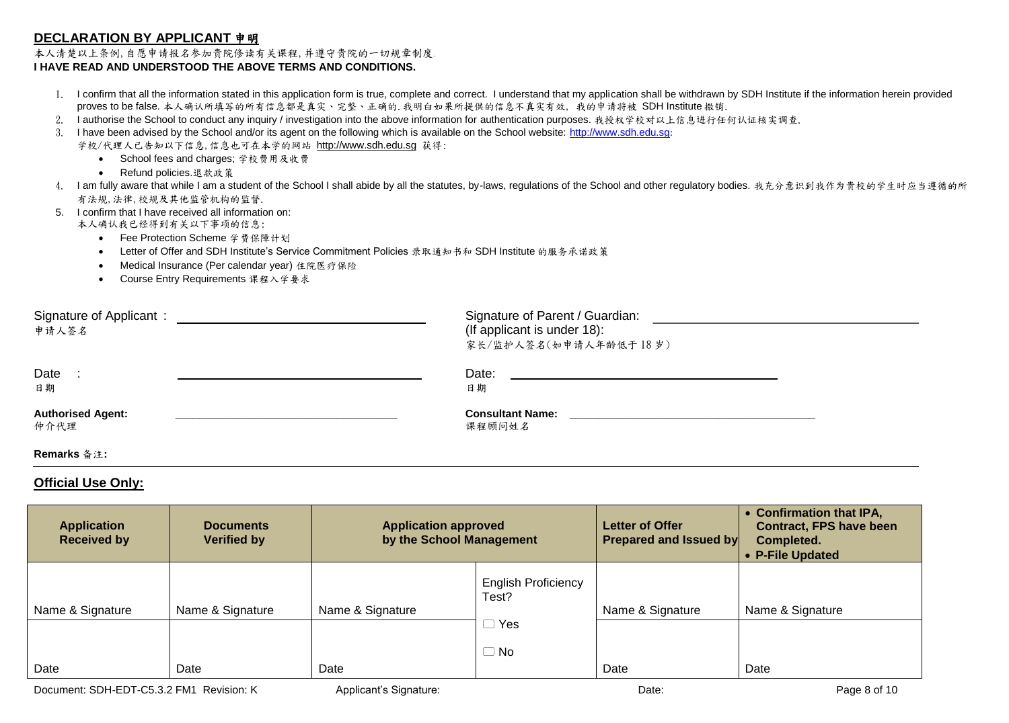## **DECLARATION BY APPLICANT** 申明

#### 本人清楚以上条例,自愿申请报名参加贵院修读有关课程,并遵守贵院的一切规章制度. **I HAVE READ AND UNDERSTOOD THE ABOVE TERMS AND CONDITIONS.**

- 1. I confirm that all the information stated in this application form is true, complete and correct. I understand that my application shall be withdrawn by SDH Institute if the information herein provided proves to be false. 本人确认所填写的所有信息都是真实、完整、正确的.我明白如果所提供的信息不真实有效, 我的申请将被 SDH Institute 撤销.
- 2. I authorise the School to conduct any inquiry / investigation into the above information for authentication purposes. 我授权学校对以上信息进行任何认证核实调查.
- 3. I have been advised by the School and/or its agent on the following which is available on the School website: [http://www.sdh.edu.sg](http://www.sdh.edu.sg/):

学校/代理人已告知以下信息,信息也可在本学的网站 [http://www.sdh.edu.sg](http://www.sdh.edu.sg/) 获得:

- School fees and charges; 学校费用及收费
- Refund policies.退款政策
- 4. I am fully aware that while I am a student of the School I shall abide by all the statutes, by-laws, regulations of the School and other regulatory bodies. 我充分意识到我作为贵校的学生时应当遵循的所 有法规,法律,校规及其他监管机构的监督.
- 5. I confirm that I have received all information on:

本人确认我已经得到有关以下事项的信息:

- Fee Protection Scheme 学费保障计划
- Letter of Offer and SDH Institute's Service Commitment Policies 录取通知书和 SDH Institute 的服务承诺政策
- Medical Insurance (Per calendar year) 住院医疗保险
- Course Entry Requirements 课程入学要求

| Signature of Applicant:<br>申请人签名 | Signature of Parent / Guardian:<br>(If applicant is under 18):<br>家长/监护人签名(如申请人年龄低于18岁) |  |
|----------------------------------|-----------------------------------------------------------------------------------------|--|
| Date<br>日期                       | Date:<br>日期                                                                             |  |
| <b>Authorised Agent:</b><br>仲介代理 | <b>Consultant Name:</b><br>课程顾问姓名                                                       |  |
| Remarks 备注:                      |                                                                                         |  |

### **Official Use Only:**

| <b>Application</b><br><b>Received by</b> | <b>Documents</b><br><b>Verified by</b> | <b>Application approved</b><br>by the School Management |                                     | <b>Letter of Offer</b><br><b>Prepared and Issued by</b> | • Confirmation that IPA,<br><b>Contract, FPS have been</b><br>Completed.<br>• P-File Updated |
|------------------------------------------|----------------------------------------|---------------------------------------------------------|-------------------------------------|---------------------------------------------------------|----------------------------------------------------------------------------------------------|
| Name & Signature                         | Name & Signature                       | Name & Signature                                        | <b>English Proficiency</b><br>Test? | Name & Signature                                        | Name & Signature                                                                             |
| Date                                     | Date                                   | Date                                                    | Yes<br>ـــــا<br>No.<br>U           | Date                                                    | Date                                                                                         |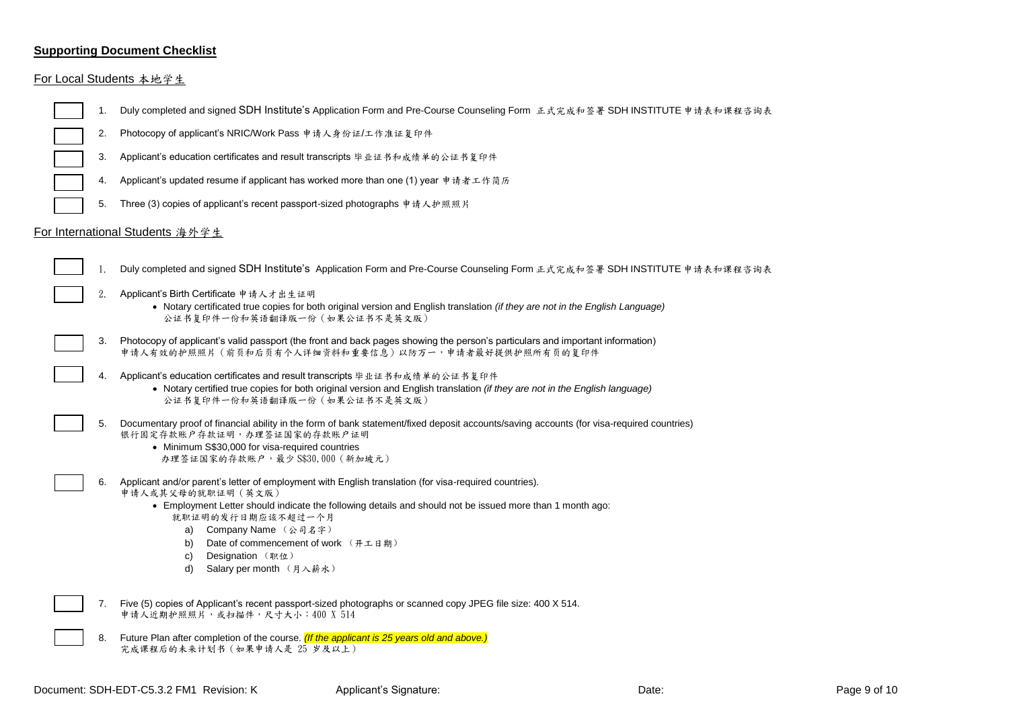# **Supporting Document Checklist**

# For Local Students 本地学生

| 1. | Duly completed and signed SDH Institute's Application Form and Pre-Course Counseling Form 正式完成和签署 SDH INSTITUTE 申请表和课程咨询表                                                                                                                                                                                                                                                                        |
|----|--------------------------------------------------------------------------------------------------------------------------------------------------------------------------------------------------------------------------------------------------------------------------------------------------------------------------------------------------------------------------------------------------|
| 2. | Photocopy of applicant's NRIC/Work Pass 申请人身份证/工作准证复印件                                                                                                                                                                                                                                                                                                                                           |
| 3. | Applicant's education certificates and result transcripts 毕业证书和成绩单的公证书复印件                                                                                                                                                                                                                                                                                                                        |
| 4. | Applicant's updated resume if applicant has worked more than one (1) year 申请者工作简历                                                                                                                                                                                                                                                                                                                |
| 5. | Three (3) copies of applicant's recent passport-sized photographs 申请人护照照片                                                                                                                                                                                                                                                                                                                        |
|    | For International Students 海外学生                                                                                                                                                                                                                                                                                                                                                                  |
| 1. | Duly completed and signed SDH Institute's Application Form and Pre-Course Counseling Form 正式完成和签署 SDH INSTITUTE 申请表和课程咨询表                                                                                                                                                                                                                                                                        |
| 2. | Applicant's Birth Certificate 申请人才出生证明<br>• Notary certificated true copies for both original version and English translation (if they are not in the English Language)<br>公证书复印件一份和英语翻译版一份 (如果公证书不是英文版)                                                                                                                                                                                         |
| 3. | Photocopy of applicant's valid passport (the front and back pages showing the person's particulars and important information)<br>申请人有效的护照照片(前页和后页有个人详细资料和重要信息)以防万一,申请者最好提供护照所有页的复印件                                                                                                                                                                                                              |
| 4. | Applicant's education certificates and result transcripts 毕业证书和成绩单的公证书复印件<br>• Notary certified true copies for both original version and English translation (if they are not in the English language)<br>公证书复印件一份和英语翻译版一份(如果公证书不是英文版)                                                                                                                                                          |
| 5. | Documentary proof of financial ability in the form of bank statement/fixed deposit accounts/saving accounts (for visa-required countries)<br>银行固定存款账户存款证明,办理签证国家的存款账户证明<br>• Minimum S\$30,000 for visa-required countries<br>办理签证国家的存款账户,最少 S\$30,000 (新加坡元)                                                                                                                                    |
| 6. | Applicant and/or parent's letter of employment with English translation (for visa-required countries).<br>申请人或其父母的就职证明 (英文版)<br>• Employment Letter should indicate the following details and should not be issued more than 1 month ago:<br>就职证明的发行日期应该不超过一个月<br>a) Company Name (公司名字)<br>Date of commencement of work (开工日期)<br>b)<br>Designation (职位)<br>C)<br>d)<br>Salary per month (月入薪水) |
| 7. | Five (5) copies of Applicant's recent passport-sized photographs or scanned copy JPEG file size: 400 X 514.<br>申请人近期护照照片,或扫描件,尺寸大小: 400 X 514                                                                                                                                                                                                                                                    |
| 8. | Future Plan after completion of the course. (If the applicant is 25 years old and above.)<br>完成课程后的未来计划书 (如果申请人是 25 岁及以上)                                                                                                                                                                                                                                                                        |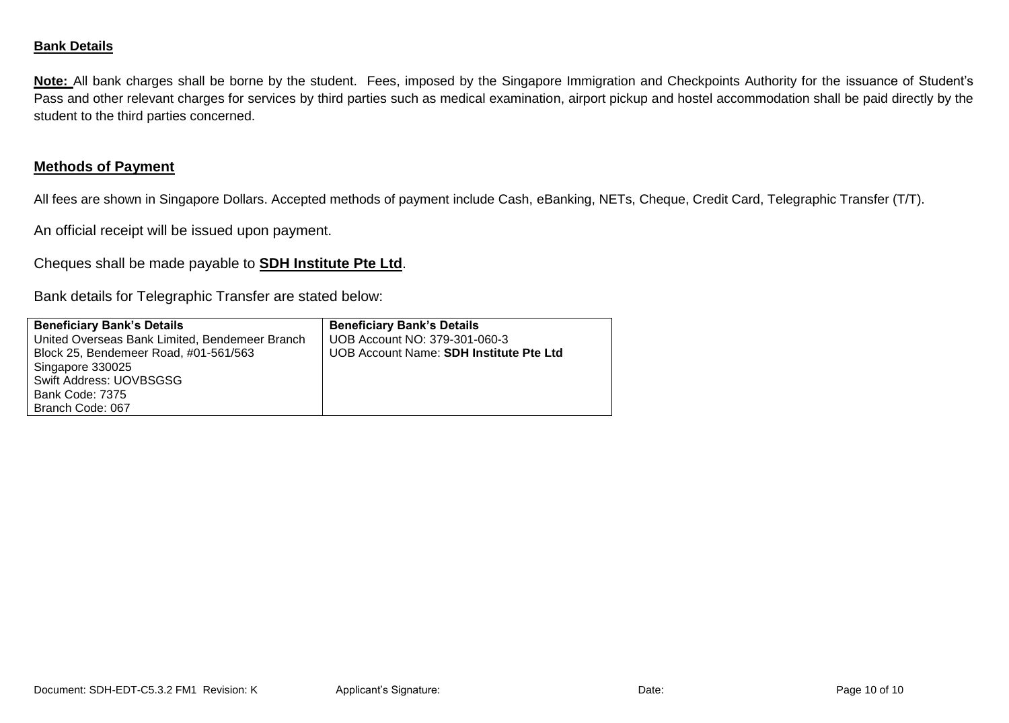## **Bank Details**

**Note:** All bank charges shall be borne by the student. Fees, imposed by the Singapore Immigration and Checkpoints Authority for the issuance of Student's Pass and other relevant charges for services by third parties such as medical examination, airport pickup and hostel accommodation shall be paid directly by the student to the third parties concerned.

# **Methods of Payment**

All fees are shown in Singapore Dollars. Accepted methods of payment include Cash, eBanking, NETs, Cheque, Credit Card, Telegraphic Transfer (T/T).

An official receipt will be issued upon payment.

Cheques shall be made payable to **SDH Institute Pte Ltd**.

Bank details for Telegraphic Transfer are stated below:

| <b>Beneficiary Bank's Details</b>              | <b>Beneficiary Bank's Details</b>       |
|------------------------------------------------|-----------------------------------------|
| United Overseas Bank Limited, Bendemeer Branch | UOB Account NO: 379-301-060-3           |
| Block 25, Bendemeer Road, #01-561/563          | UOB Account Name: SDH Institute Pte Ltd |
| Singapore 330025                               |                                         |
| Swift Address: UOVBSGSG                        |                                         |
| Bank Code: 7375                                |                                         |
| Branch Code: 067                               |                                         |
|                                                |                                         |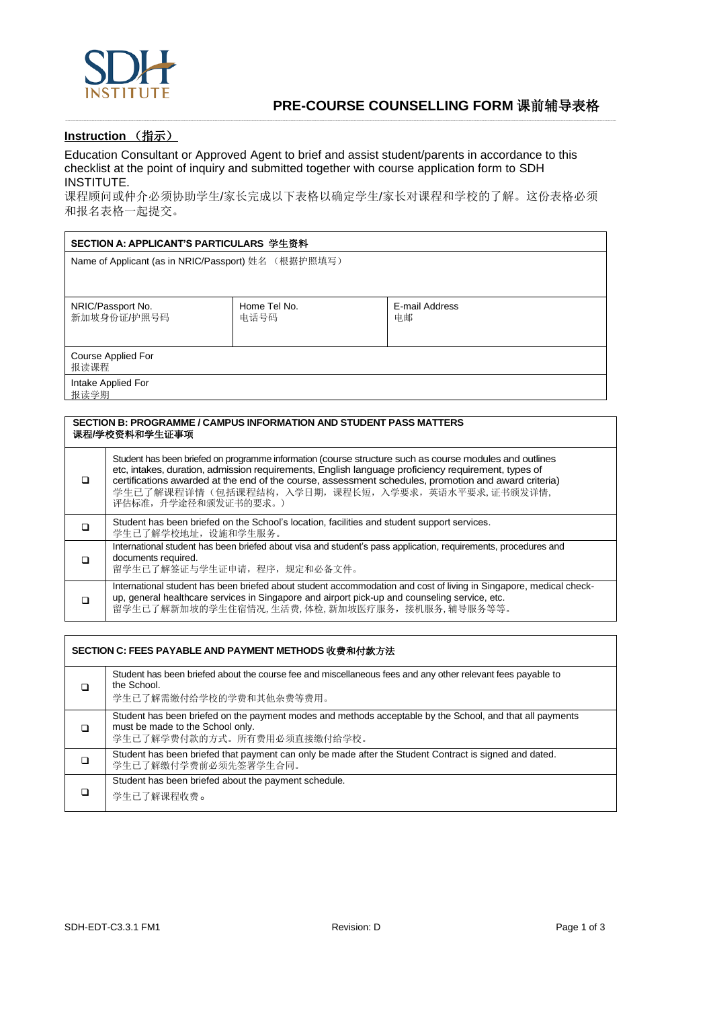

### **Instruction** (指示)

Education Consultant or Approved Agent to brief and assist student/parents in accordance to this checklist at the point of inquiry and submitted together with course application form to SDH INSTITUTE.

课程顾问或仲介必须协助学生/家长完成以下表格以确定学生/家长对课程和学校的了解。这份表格必须 和报名表格一起提交。

-----------------------------------------------------------------------------------------------------------------------------------------------------------------------------------------------------------------------------------------------------------------------------------------------------------------------------------------------------------------------------------------------------------------------------------------------------------------------------------------------

| SECTION A: APPLICANT'S PARTICULARS 学生资料             |                      |                      |  |  |
|-----------------------------------------------------|----------------------|----------------------|--|--|
| Name of Applicant (as in NRIC/Passport) 姓名 (根据护照填写) |                      |                      |  |  |
|                                                     |                      |                      |  |  |
| NRIC/Passport No.<br>新加坡身份证/护照号码                    | Home Tel No.<br>电话号码 | E-mail Address<br>电邮 |  |  |
| Course Applied For<br>报读课程                          |                      |                      |  |  |
| Intake Applied For<br>报读学期                          |                      |                      |  |  |

#### **SECTION B: PROGRAMME / CAMPUS INFORMATION AND STUDENT PASS MATTERS** 课程**/**学校资料和学生证事项

| □ | Student has been briefed on programme information (course structure such as course modules and outlines<br>etc, intakes, duration, admission requirements, English language proficiency requirement, types of<br>certifications awarded at the end of the course, assessment schedules, promotion and award criteria)<br>学生已了解课程详情(包括课程结构,入学日期,课程长短,入学要求,英语水平要求,证书颁发详情,<br>评估标准,升学途径和颁发证书的要求。) |
|---|------------------------------------------------------------------------------------------------------------------------------------------------------------------------------------------------------------------------------------------------------------------------------------------------------------------------------------------------------------------------------------------------|
| □ | Student has been briefed on the School's location, facilities and student support services.<br>学生已了解学校地址, 设施和学生服务。                                                                                                                                                                                                                                                                             |
| ⊓ | International student has been briefed about visa and student's pass application, requirements, procedures and<br>documents required.<br>留学生已了解签证与学生证申请,程序,规定和必备文件。                                                                                                                                                                                                                            |
| □ | International student has been briefed about student accommodation and cost of living in Singapore, medical check-<br>up, general healthcare services in Singapore and airport pick-up and counseling service, etc.<br>留学生已了解新加坡的学生住宿情况,生活费,体检,新加坡医疗服务,接机服务,辅导服务等等。                                                                                                                            |

|   | SECTION C: FEES PAYABLE AND PAYMENT METHODS 收费和付款方法                                                                                                                          |
|---|------------------------------------------------------------------------------------------------------------------------------------------------------------------------------|
|   | Student has been briefed about the course fee and miscellaneous fees and any other relevant fees payable to<br>the School.<br>学生已了解需缴付给学校的学费和其他杂费等费用。                        |
| □ | Student has been briefed on the payment modes and methods acceptable by the School, and that all payments<br>must be made to the School only.<br>学生已了解学费付款的方式。所有费用必须直接缴付给学校。 |
| □ | Student has been briefed that payment can only be made after the Student Contract is signed and dated.<br>学生已了解缴付学费前必须先签署学生合同。                                               |
|   | Student has been briefed about the payment schedule.<br>学生已了解课程收费。                                                                                                           |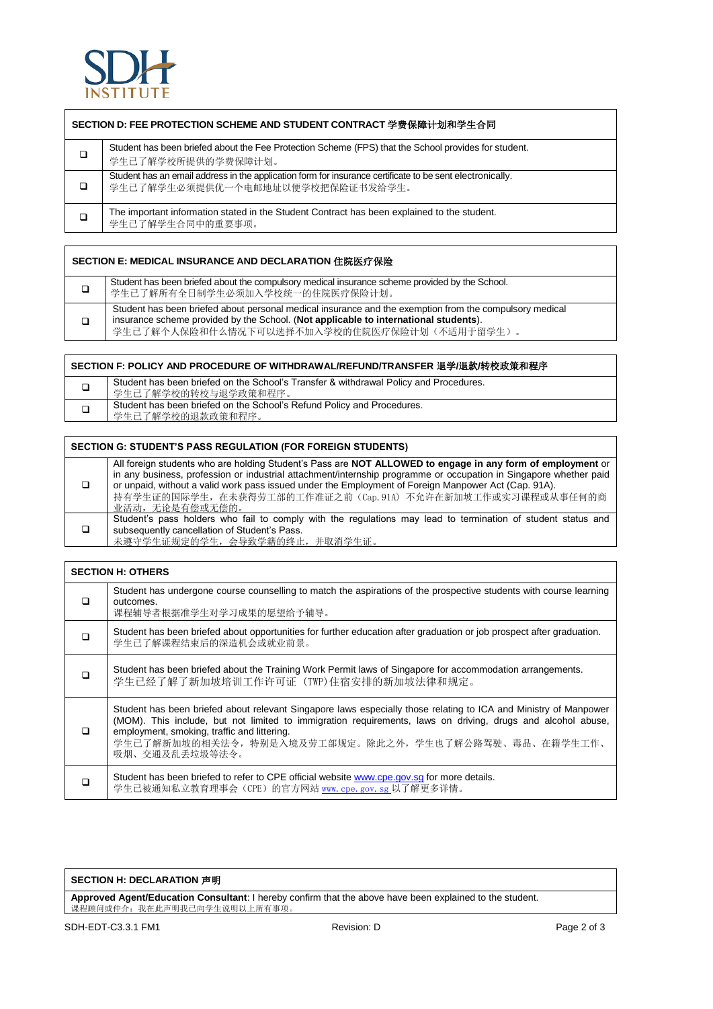

|   | SECTION D: FEE PROTECTION SCHEME AND STUDENT CONTRACT 学费保障计划和学生合同                                                                             |  |  |  |  |
|---|-----------------------------------------------------------------------------------------------------------------------------------------------|--|--|--|--|
| □ | Student has been briefed about the Fee Protection Scheme (FPS) that the School provides for student.<br>学生已了解学校所提供的学费保障计划。                    |  |  |  |  |
| ◻ | Student has an email address in the application form for insurance certificate to be sent electronically.<br>学生已了解学生必须提供优一个电邮地址以便学校把保险证书发给学生。 |  |  |  |  |
| ◘ | The important information stated in the Student Contract has been explained to the student.<br>学生已了解学生合同中的重要事项。                               |  |  |  |  |

| SECTION E: MEDICAL INSURANCE AND DECLARATION 住院医疗保险 |                                                                                                                                                                                                                                                |  |  |  |
|-----------------------------------------------------|------------------------------------------------------------------------------------------------------------------------------------------------------------------------------------------------------------------------------------------------|--|--|--|
| □                                                   | Student has been briefed about the compulsory medical insurance scheme provided by the School.<br>学生已了解所有全日制学生必须加入学校统一的住院医疗保险计划。                                                                                                               |  |  |  |
| □                                                   | Student has been briefed about personal medical insurance and the exemption from the compulsory medical<br>insurance scheme provided by the School. (Not applicable to international students).<br>学生已了解个人保险和什么情况下可以选择不加入学校的住院医疗保险计划(不适用于留学生)。 |  |  |  |

| SECTION F: POLICY AND PROCEDURE OF WITHDRAWAL/REFUND/TRANSFER 退学/退款/转校政策和程序 |                                                                                                              |  |  |  |
|-----------------------------------------------------------------------------|--------------------------------------------------------------------------------------------------------------|--|--|--|
|                                                                             | Student has been briefed on the School's Transfer & withdrawal Policy and Procedures.<br>学生已了解学校的转校与退学政策和程序。 |  |  |  |
|                                                                             | Student has been briefed on the School's Refund Policy and Procedures.<br>学生已了解学校的退款政策和程序。                   |  |  |  |

| <b>SECTION G: STUDENT'S PASS REGULATION (FOR FOREIGN STUDENTS)</b> |                                                                                                                                                                                                                                                                                                                                                                                                                          |  |  |  |  |
|--------------------------------------------------------------------|--------------------------------------------------------------------------------------------------------------------------------------------------------------------------------------------------------------------------------------------------------------------------------------------------------------------------------------------------------------------------------------------------------------------------|--|--|--|--|
| $\Box$                                                             | All foreign students who are holding Student's Pass are NOT ALLOWED to engage in any form of employment or<br>in any business, profession or industrial attachment/internship programme or occupation in Singapore whether paid<br>or unpaid, without a valid work pass issued under the Employment of Foreign Manpower Act (Cap. 91A).<br>持有学生证的国际学生,在未获得劳工部的工作准证之前 (Cap. 91A) 不允许在新加坡工作或实习课程或从事任何的商<br>业活动, 无论是有偿或无偿的。 |  |  |  |  |
| □                                                                  | Student's pass holders who fail to comply with the regulations may lead to termination of student status and<br>subsequently cancellation of Student's Pass.<br>未遵守学生证规定的学生, 会导致学籍的终止, 并取消学生证。                                                                                                                                                                                                                           |  |  |  |  |

| <b>SECTION H: OTHERS</b> |  |
|--------------------------|--|
|--------------------------|--|

|   | Student has undergone course counselling to match the aspirations of the prospective students with course learning<br>outcomes.<br>课程辅导者根据准学生对学习成果的愿望给予辅导。                                                                                                                                                                                              |  |  |
|---|---------------------------------------------------------------------------------------------------------------------------------------------------------------------------------------------------------------------------------------------------------------------------------------------------------------------------------------------------------|--|--|
| □ | Student has been briefed about opportunities for further education after graduation or job prospect after graduation.<br>学生已了解课程结束后的深造机会或就业前景。                                                                                                                                                                                                          |  |  |
| □ | Student has been briefed about the Training Work Permit laws of Singapore for accommodation arrangements.<br>学生已经了解了新加坡培训工作许可证 (TWP)住宿安排的新加坡法律和规定。                                                                                                                                                                                                      |  |  |
| ⊓ | Student has been briefed about relevant Singapore laws especially those relating to ICA and Ministry of Manpower<br>(MOM). This include, but not limited to immigration requirements, laws on driving, drugs and alcohol abuse,<br>employment, smoking, traffic and littering.<br>学生已了解新加坡的相关法令,特别是入境及劳工部规定。除此之外,学生也了解公路驾驶、毒品、在籍学生工作、<br>吸烟、交通及乱丢垃圾等法令。 |  |  |
|   | Student has been briefed to refer to CPE official website www.cpe.gov.sg for more details.<br>学生已被通知私立教育理事会 (CPE) 的官方网站 www. cpe. gov. sg 以了解更多详情。                                                                                                                                                                                                      |  |  |

#### **SECTION H: DECLARATION** 声明

**Approved Agent/Education Consultant**: I hereby confirm that the above have been explained to the student. 课程顾问或仲介:我在此声明我已向学生说明以上所有事项。